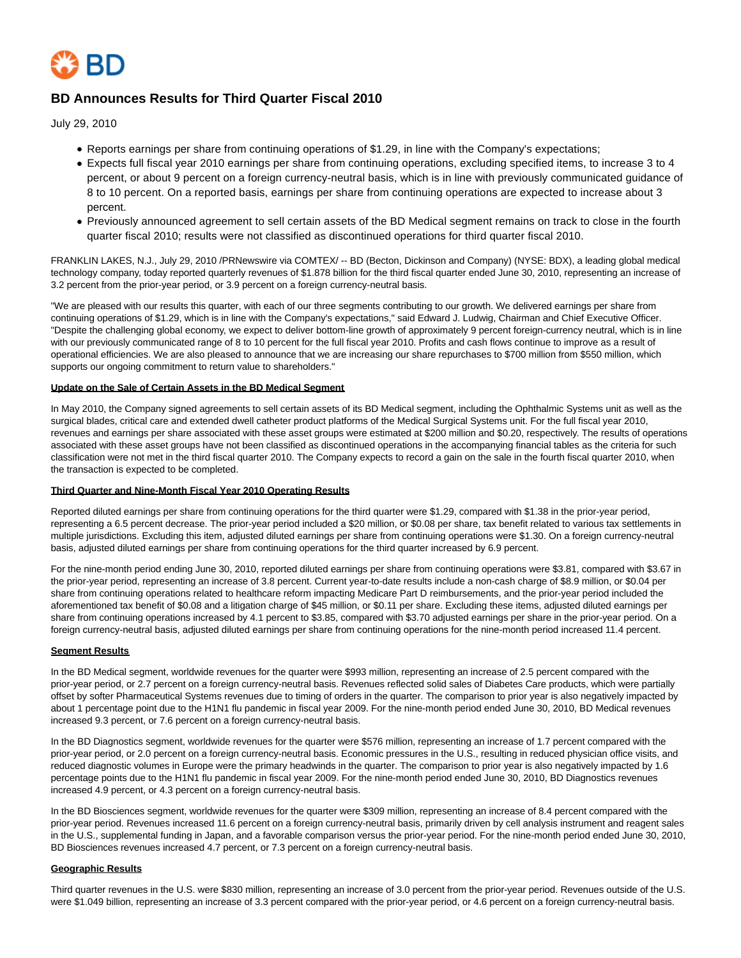

# **BD Announces Results for Third Quarter Fiscal 2010**

July 29, 2010

- Reports earnings per share from continuing operations of \$1.29, in line with the Company's expectations;
- Expects full fiscal year 2010 earnings per share from continuing operations, excluding specified items, to increase 3 to 4 percent, or about 9 percent on a foreign currency-neutral basis, which is in line with previously communicated guidance of 8 to 10 percent. On a reported basis, earnings per share from continuing operations are expected to increase about 3 percent.
- Previously announced agreement to sell certain assets of the BD Medical segment remains on track to close in the fourth quarter fiscal 2010; results were not classified as discontinued operations for third quarter fiscal 2010.

FRANKLIN LAKES, N.J., July 29, 2010 /PRNewswire via COMTEX/ -- BD (Becton, Dickinson and Company) (NYSE: BDX), a leading global medical technology company, today reported quarterly revenues of \$1.878 billion for the third fiscal quarter ended June 30, 2010, representing an increase of 3.2 percent from the prior-year period, or 3.9 percent on a foreign currency-neutral basis.

"We are pleased with our results this quarter, with each of our three segments contributing to our growth. We delivered earnings per share from continuing operations of \$1.29, which is in line with the Company's expectations," said Edward J. Ludwig, Chairman and Chief Executive Officer. "Despite the challenging global economy, we expect to deliver bottom-line growth of approximately 9 percent foreign-currency neutral, which is in line with our previously communicated range of 8 to 10 percent for the full fiscal year 2010. Profits and cash flows continue to improve as a result of operational efficiencies. We are also pleased to announce that we are increasing our share repurchases to \$700 million from \$550 million, which supports our ongoing commitment to return value to shareholders."

#### **Update on the Sale of Certain Assets in the BD Medical Segment**

In May 2010, the Company signed agreements to sell certain assets of its BD Medical segment, including the Ophthalmic Systems unit as well as the surgical blades, critical care and extended dwell catheter product platforms of the Medical Surgical Systems unit. For the full fiscal year 2010, revenues and earnings per share associated with these asset groups were estimated at \$200 million and \$0.20, respectively. The results of operations associated with these asset groups have not been classified as discontinued operations in the accompanying financial tables as the criteria for such classification were not met in the third fiscal quarter 2010. The Company expects to record a gain on the sale in the fourth fiscal quarter 2010, when the transaction is expected to be completed.

### **Third Quarter and Nine-Month Fiscal Year 2010 Operating Results**

Reported diluted earnings per share from continuing operations for the third quarter were \$1.29, compared with \$1.38 in the prior-year period, representing a 6.5 percent decrease. The prior-year period included a \$20 million, or \$0.08 per share, tax benefit related to various tax settlements in multiple jurisdictions. Excluding this item, adjusted diluted earnings per share from continuing operations were \$1.30. On a foreign currency-neutral basis, adjusted diluted earnings per share from continuing operations for the third quarter increased by 6.9 percent.

For the nine-month period ending June 30, 2010, reported diluted earnings per share from continuing operations were \$3.81, compared with \$3.67 in the prior-year period, representing an increase of 3.8 percent. Current year-to-date results include a non-cash charge of \$8.9 million, or \$0.04 per share from continuing operations related to healthcare reform impacting Medicare Part D reimbursements, and the prior-year period included the aforementioned tax benefit of \$0.08 and a litigation charge of \$45 million, or \$0.11 per share. Excluding these items, adjusted diluted earnings per share from continuing operations increased by 4.1 percent to \$3.85, compared with \$3.70 adjusted earnings per share in the prior-year period. On a foreign currency-neutral basis, adjusted diluted earnings per share from continuing operations for the nine-month period increased 11.4 percent.

### **Segment Results**

In the BD Medical segment, worldwide revenues for the quarter were \$993 million, representing an increase of 2.5 percent compared with the prior-year period, or 2.7 percent on a foreign currency-neutral basis. Revenues reflected solid sales of Diabetes Care products, which were partially offset by softer Pharmaceutical Systems revenues due to timing of orders in the quarter. The comparison to prior year is also negatively impacted by about 1 percentage point due to the H1N1 flu pandemic in fiscal year 2009. For the nine-month period ended June 30, 2010, BD Medical revenues increased 9.3 percent, or 7.6 percent on a foreign currency-neutral basis.

In the BD Diagnostics segment, worldwide revenues for the quarter were \$576 million, representing an increase of 1.7 percent compared with the prior-year period, or 2.0 percent on a foreign currency-neutral basis. Economic pressures in the U.S., resulting in reduced physician office visits, and reduced diagnostic volumes in Europe were the primary headwinds in the quarter. The comparison to prior year is also negatively impacted by 1.6 percentage points due to the H1N1 flu pandemic in fiscal year 2009. For the nine-month period ended June 30, 2010, BD Diagnostics revenues increased 4.9 percent, or 4.3 percent on a foreign currency-neutral basis.

In the BD Biosciences segment, worldwide revenues for the quarter were \$309 million, representing an increase of 8.4 percent compared with the prior-year period. Revenues increased 11.6 percent on a foreign currency-neutral basis, primarily driven by cell analysis instrument and reagent sales in the U.S., supplemental funding in Japan, and a favorable comparison versus the prior-year period. For the nine-month period ended June 30, 2010, BD Biosciences revenues increased 4.7 percent, or 7.3 percent on a foreign currency-neutral basis.

### **Geographic Results**

Third quarter revenues in the U.S. were \$830 million, representing an increase of 3.0 percent from the prior-year period. Revenues outside of the U.S. were \$1.049 billion, representing an increase of 3.3 percent compared with the prior-year period, or 4.6 percent on a foreign currency-neutral basis.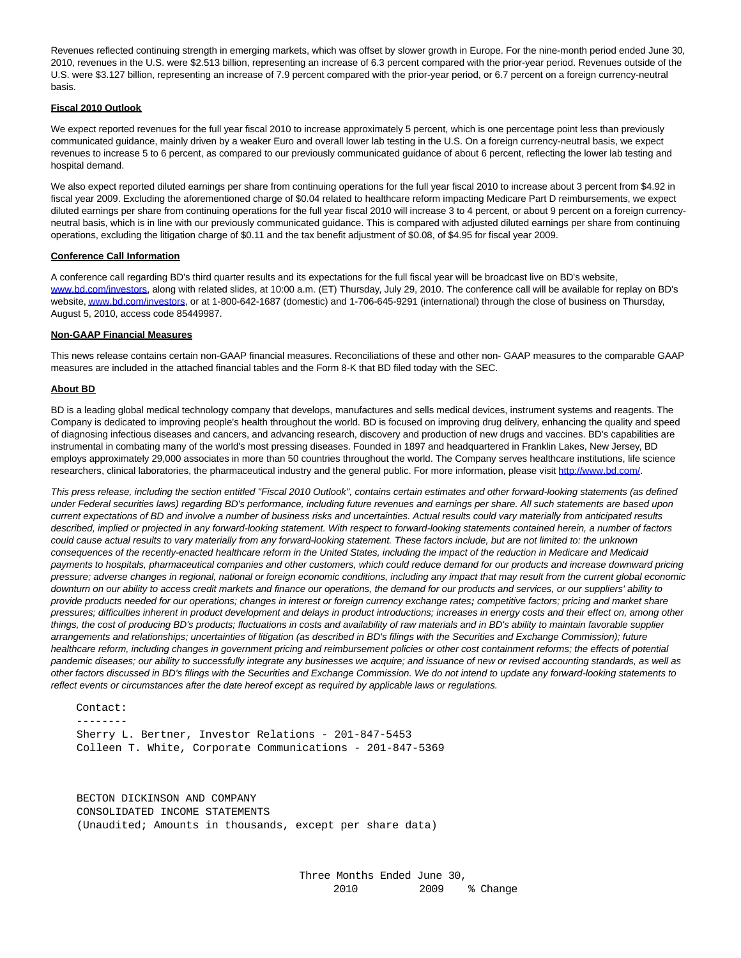Revenues reflected continuing strength in emerging markets, which was offset by slower growth in Europe. For the nine-month period ended June 30, 2010, revenues in the U.S. were \$2.513 billion, representing an increase of 6.3 percent compared with the prior-year period. Revenues outside of the U.S. were \$3.127 billion, representing an increase of 7.9 percent compared with the prior-year period, or 6.7 percent on a foreign currency-neutral basis.

#### **Fiscal 2010 Outlook**

We expect reported revenues for the full year fiscal 2010 to increase approximately 5 percent, which is one percentage point less than previously communicated guidance, mainly driven by a weaker Euro and overall lower lab testing in the U.S. On a foreign currency-neutral basis, we expect revenues to increase 5 to 6 percent, as compared to our previously communicated guidance of about 6 percent, reflecting the lower lab testing and hospital demand.

We also expect reported diluted earnings per share from continuing operations for the full year fiscal 2010 to increase about 3 percent from \$4.92 in fiscal year 2009. Excluding the aforementioned charge of \$0.04 related to healthcare reform impacting Medicare Part D reimbursements, we expect diluted earnings per share from continuing operations for the full year fiscal 2010 will increase 3 to 4 percent, or about 9 percent on a foreign currencyneutral basis, which is in line with our previously communicated guidance. This is compared with adjusted diluted earnings per share from continuing operations, excluding the litigation charge of \$0.11 and the tax benefit adjustment of \$0.08, of \$4.95 for fiscal year 2009.

#### **Conference Call Information**

A conference call regarding BD's third quarter results and its expectations for the full fiscal year will be broadcast live on BD's website, [www.bd.com/investors,](http://www.bd.com/investors) along with related slides, at 10:00 a.m. (ET) Thursday, July 29, 2010. The conference call will be available for replay on BD's website[, www.bd.com/investors,](http://www.bd.com/investors) or at 1-800-642-1687 (domestic) and 1-706-645-9291 (international) through the close of business on Thursday, August 5, 2010, access code 85449987.

#### **Non-GAAP Financial Measures**

This news release contains certain non-GAAP financial measures. Reconciliations of these and other non- GAAP measures to the comparable GAAP measures are included in the attached financial tables and the Form 8-K that BD filed today with the SEC.

#### **About BD**

BD is a leading global medical technology company that develops, manufactures and sells medical devices, instrument systems and reagents. The Company is dedicated to improving people's health throughout the world. BD is focused on improving drug delivery, enhancing the quality and speed of diagnosing infectious diseases and cancers, and advancing research, discovery and production of new drugs and vaccines. BD's capabilities are instrumental in combating many of the world's most pressing diseases. Founded in 1897 and headquartered in Franklin Lakes, New Jersey, BD employs approximately 29,000 associates in more than 50 countries throughout the world. The Company serves healthcare institutions, life science researchers, clinical laboratories, the pharmaceutical industry and the general public. For more information, please visit [http://www.bd.com/.](http://www.bd.com/)

This press release, including the section entitled "Fiscal 2010 Outlook", contains certain estimates and other forward-looking statements (as defined under Federal securities laws) regarding BD's performance, including future revenues and earnings per share. All such statements are based upon current expectations of BD and involve a number of business risks and uncertainties. Actual results could vary materially from anticipated results described, implied or projected in any forward-looking statement. With respect to forward-looking statements contained herein, a number of factors could cause actual results to vary materially from any forward-looking statement. These factors include, but are not limited to: the unknown consequences of the recently-enacted healthcare reform in the United States, including the impact of the reduction in Medicare and Medicaid payments to hospitals, pharmaceutical companies and other customers, which could reduce demand for our products and increase downward pricing pressure; adverse changes in regional, national or foreign economic conditions, including any impact that may result from the current global economic downturn on our ability to access credit markets and finance our operations, the demand for our products and services, or our suppliers' ability to provide products needed for our operations; changes in interest or foreign currency exchange rates**;** competitive factors; pricing and market share pressures; difficulties inherent in product development and delays in product introductions; increases in energy costs and their effect on, among other things, the cost of producing BD's products; fluctuations in costs and availability of raw materials and in BD's ability to maintain favorable supplier arrangements and relationships; uncertainties of litigation (as described in BD's filings with the Securities and Exchange Commission); future healthcare reform, including changes in government pricing and reimbursement policies or other cost containment reforms; the effects of potential pandemic diseases; our ability to successfully integrate any businesses we acquire; and issuance of new or revised accounting standards, as well as other factors discussed in BD's filings with the Securities and Exchange Commission. We do not intend to update any forward-looking statements to reflect events or circumstances after the date hereof except as required by applicable laws or regulations.

 Contact: -------- Sherry L. Bertner, Investor Relations - 201-847-5453 Colleen T. White, Corporate Communications - 201-847-5369

 BECTON DICKINSON AND COMPANY CONSOLIDATED INCOME STATEMENTS (Unaudited; Amounts in thousands, except per share data)

> Three Months Ended June 30, 2010 2009 % Change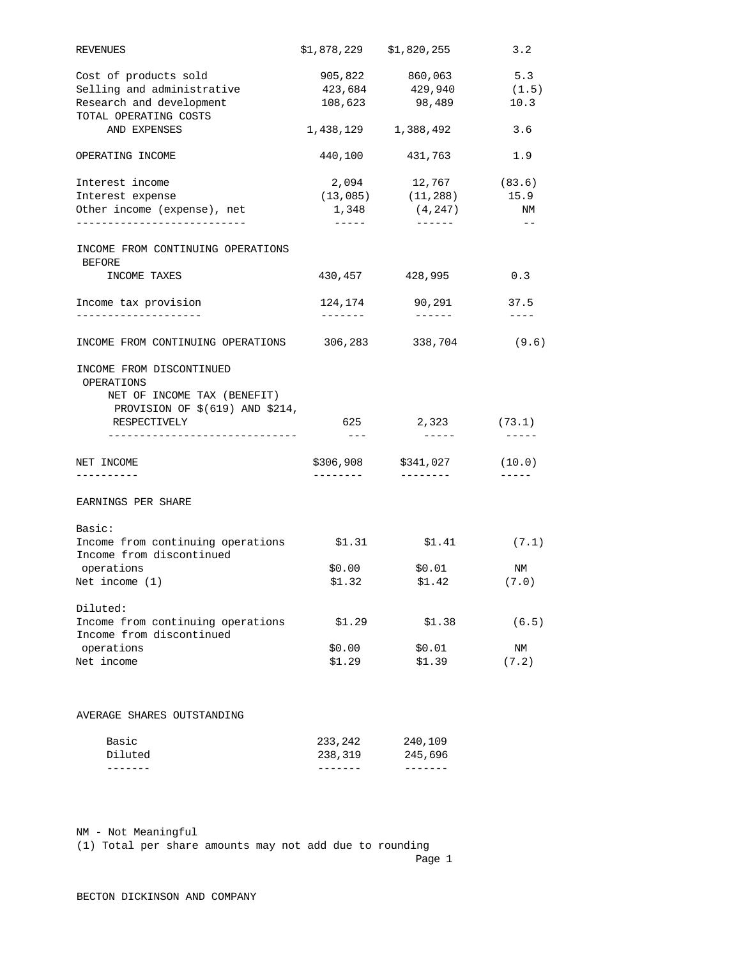| 905,822 860,063 5.3<br>108,623 98,489<br>10.3<br>1,438,129 1,388,492<br>3.6<br>440,100 431,763<br>1.9<br>$(13,085)$ $(11,288)$<br>15.9<br>(4, 247)<br>1,348<br>$\begin{array}{cccccccccc} \multicolumn{2}{c}{} & \multicolumn{2}{c}{} & \multicolumn{2}{c}{} & \multicolumn{2}{c}{} & \multicolumn{2}{c}{} & \multicolumn{2}{c}{} & \multicolumn{2}{c}{} & \multicolumn{2}{c}{} & \multicolumn{2}{c}{} & \multicolumn{2}{c}{} & \multicolumn{2}{c}{} & \multicolumn{2}{c}{} & \multicolumn{2}{c}{} & \multicolumn{2}{c}{} & \multicolumn{2}{c}{} & \multicolumn{2}{c}{} & \multicolumn{2}{c}{} & \multicolumn{2}{c}{} & \multicolumn{2}{c}{} & \mult$<br>$\begin{tabular}{lllllllllll} \toprule[-1mm]{1mm}{6mm} & \multicolumn{1}{c}{\multicolumn{1}{c}{\multicolumn{1}{c}{\multicolumn{1}{c}{\multicolumn{1}{c}{\multicolumn{1}{c}{\multicolumn{1}{c}{\multicolumn{1}{c}{\multicolumn{1}{c}{\multicolumn{1}{c}{\hspace{-1.2mm}c}}}}}}\label{eq:2.13} \end{tabular}$<br>$ -$<br>430,457 428,995<br>0.3<br>90,291<br>37.5<br>124,174<br>--------<br>-------<br>$\qquad \qquad - - - -$<br>INCOME FROM CONTINUING OPERATIONS 306,283<br>338,704 |
|-----------------------------------------------------------------------------------------------------------------------------------------------------------------------------------------------------------------------------------------------------------------------------------------------------------------------------------------------------------------------------------------------------------------------------------------------------------------------------------------------------------------------------------------------------------------------------------------------------------------------------------------------------------------------------------------------------------------------------------------------------------------------------------------------------------------------------------------------------------------------------------------------------------------------------------------------------------------------------------------------------------------------------------------------------------------------------------------------------------------------------------------------|
| 423,684 429,940 (1.5)<br>2,094 12,767 (83.6)<br>NM<br>(9.6)                                                                                                                                                                                                                                                                                                                                                                                                                                                                                                                                                                                                                                                                                                                                                                                                                                                                                                                                                                                                                                                                                   |
|                                                                                                                                                                                                                                                                                                                                                                                                                                                                                                                                                                                                                                                                                                                                                                                                                                                                                                                                                                                                                                                                                                                                               |
|                                                                                                                                                                                                                                                                                                                                                                                                                                                                                                                                                                                                                                                                                                                                                                                                                                                                                                                                                                                                                                                                                                                                               |
|                                                                                                                                                                                                                                                                                                                                                                                                                                                                                                                                                                                                                                                                                                                                                                                                                                                                                                                                                                                                                                                                                                                                               |
|                                                                                                                                                                                                                                                                                                                                                                                                                                                                                                                                                                                                                                                                                                                                                                                                                                                                                                                                                                                                                                                                                                                                               |
|                                                                                                                                                                                                                                                                                                                                                                                                                                                                                                                                                                                                                                                                                                                                                                                                                                                                                                                                                                                                                                                                                                                                               |
|                                                                                                                                                                                                                                                                                                                                                                                                                                                                                                                                                                                                                                                                                                                                                                                                                                                                                                                                                                                                                                                                                                                                               |
|                                                                                                                                                                                                                                                                                                                                                                                                                                                                                                                                                                                                                                                                                                                                                                                                                                                                                                                                                                                                                                                                                                                                               |
|                                                                                                                                                                                                                                                                                                                                                                                                                                                                                                                                                                                                                                                                                                                                                                                                                                                                                                                                                                                                                                                                                                                                               |
|                                                                                                                                                                                                                                                                                                                                                                                                                                                                                                                                                                                                                                                                                                                                                                                                                                                                                                                                                                                                                                                                                                                                               |
|                                                                                                                                                                                                                                                                                                                                                                                                                                                                                                                                                                                                                                                                                                                                                                                                                                                                                                                                                                                                                                                                                                                                               |
|                                                                                                                                                                                                                                                                                                                                                                                                                                                                                                                                                                                                                                                                                                                                                                                                                                                                                                                                                                                                                                                                                                                                               |
|                                                                                                                                                                                                                                                                                                                                                                                                                                                                                                                                                                                                                                                                                                                                                                                                                                                                                                                                                                                                                                                                                                                                               |
|                                                                                                                                                                                                                                                                                                                                                                                                                                                                                                                                                                                                                                                                                                                                                                                                                                                                                                                                                                                                                                                                                                                                               |
|                                                                                                                                                                                                                                                                                                                                                                                                                                                                                                                                                                                                                                                                                                                                                                                                                                                                                                                                                                                                                                                                                                                                               |
|                                                                                                                                                                                                                                                                                                                                                                                                                                                                                                                                                                                                                                                                                                                                                                                                                                                                                                                                                                                                                                                                                                                                               |
|                                                                                                                                                                                                                                                                                                                                                                                                                                                                                                                                                                                                                                                                                                                                                                                                                                                                                                                                                                                                                                                                                                                                               |
| 625<br>2,323 (73.1)<br>$- - -$<br>$- - - - - -$<br>$- - - - -$                                                                                                                                                                                                                                                                                                                                                                                                                                                                                                                                                                                                                                                                                                                                                                                                                                                                                                                                                                                                                                                                                |
| \$306,908 \$341,027<br>(10.0)                                                                                                                                                                                                                                                                                                                                                                                                                                                                                                                                                                                                                                                                                                                                                                                                                                                                                                                                                                                                                                                                                                                 |
| ---------<br>---------                                                                                                                                                                                                                                                                                                                                                                                                                                                                                                                                                                                                                                                                                                                                                                                                                                                                                                                                                                                                                                                                                                                        |
|                                                                                                                                                                                                                                                                                                                                                                                                                                                                                                                                                                                                                                                                                                                                                                                                                                                                                                                                                                                                                                                                                                                                               |
|                                                                                                                                                                                                                                                                                                                                                                                                                                                                                                                                                                                                                                                                                                                                                                                                                                                                                                                                                                                                                                                                                                                                               |
| Income from continuing operations \$1.31<br>\$1.41<br>(7.1)                                                                                                                                                                                                                                                                                                                                                                                                                                                                                                                                                                                                                                                                                                                                                                                                                                                                                                                                                                                                                                                                                   |
| \$0.00<br>\$0.01<br>ΝM                                                                                                                                                                                                                                                                                                                                                                                                                                                                                                                                                                                                                                                                                                                                                                                                                                                                                                                                                                                                                                                                                                                        |
| \$1.32<br>\$1.42<br>(7.0)                                                                                                                                                                                                                                                                                                                                                                                                                                                                                                                                                                                                                                                                                                                                                                                                                                                                                                                                                                                                                                                                                                                     |
|                                                                                                                                                                                                                                                                                                                                                                                                                                                                                                                                                                                                                                                                                                                                                                                                                                                                                                                                                                                                                                                                                                                                               |
| \$1.29<br>\$1.38<br>(6.5)                                                                                                                                                                                                                                                                                                                                                                                                                                                                                                                                                                                                                                                                                                                                                                                                                                                                                                                                                                                                                                                                                                                     |
| \$0.00<br>\$0.01<br>NM                                                                                                                                                                                                                                                                                                                                                                                                                                                                                                                                                                                                                                                                                                                                                                                                                                                                                                                                                                                                                                                                                                                        |
| \$1.29<br>\$1.39<br>(7.2)                                                                                                                                                                                                                                                                                                                                                                                                                                                                                                                                                                                                                                                                                                                                                                                                                                                                                                                                                                                                                                                                                                                     |
|                                                                                                                                                                                                                                                                                                                                                                                                                                                                                                                                                                                                                                                                                                                                                                                                                                                                                                                                                                                                                                                                                                                                               |

NM - Not Meaningful

(1) Total per share amounts may not add due to rounding

Page 1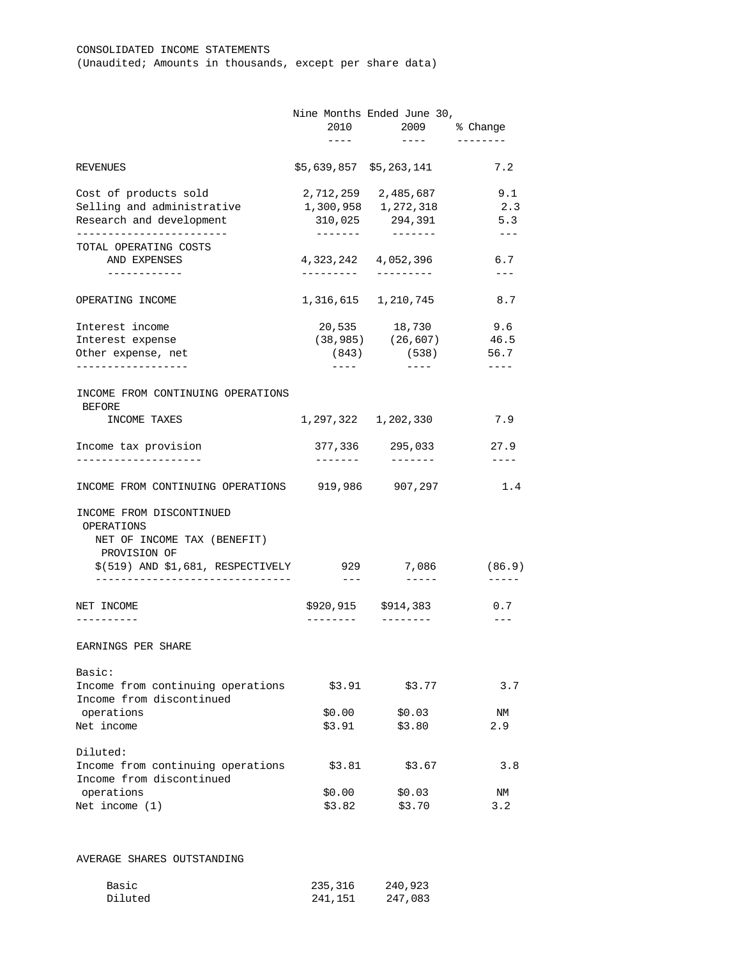|                                                               | Nine Months Ended June 30,                                                                                                                                                                                                                                                                                                                                                                                                                                                 | 2010 2009 % Change                                                                                                                                                                                                                                                                                                                                                                                                                                                         |                                                             |
|---------------------------------------------------------------|----------------------------------------------------------------------------------------------------------------------------------------------------------------------------------------------------------------------------------------------------------------------------------------------------------------------------------------------------------------------------------------------------------------------------------------------------------------------------|----------------------------------------------------------------------------------------------------------------------------------------------------------------------------------------------------------------------------------------------------------------------------------------------------------------------------------------------------------------------------------------------------------------------------------------------------------------------------|-------------------------------------------------------------|
|                                                               | $\frac{1}{2}$                                                                                                                                                                                                                                                                                                                                                                                                                                                              | $\frac{1}{2}$                                                                                                                                                                                                                                                                                                                                                                                                                                                              |                                                             |
| <b>REVENUES</b>                                               |                                                                                                                                                                                                                                                                                                                                                                                                                                                                            | \$5,639,857 \$5,263,141                                                                                                                                                                                                                                                                                                                                                                                                                                                    | 7.2                                                         |
| Cost of products sold                                         |                                                                                                                                                                                                                                                                                                                                                                                                                                                                            | 2,712,259 2,485,687                                                                                                                                                                                                                                                                                                                                                                                                                                                        | 9.1                                                         |
| Selling and administrative                                    |                                                                                                                                                                                                                                                                                                                                                                                                                                                                            | 1,300,958 1,272,318                                                                                                                                                                                                                                                                                                                                                                                                                                                        | 2.3                                                         |
| Research and development                                      |                                                                                                                                                                                                                                                                                                                                                                                                                                                                            | 310,025 294,391                                                                                                                                                                                                                                                                                                                                                                                                                                                            | 5.3                                                         |
| __________________________<br>TOTAL OPERATING COSTS           | -------                                                                                                                                                                                                                                                                                                                                                                                                                                                                    |                                                                                                                                                                                                                                                                                                                                                                                                                                                                            | $- - -$                                                     |
| AND EXPENSES                                                  |                                                                                                                                                                                                                                                                                                                                                                                                                                                                            | 4, 323, 242 4, 052, 396                                                                                                                                                                                                                                                                                                                                                                                                                                                    | 6.7                                                         |
| ------------                                                  | ----------                                                                                                                                                                                                                                                                                                                                                                                                                                                                 | ----------                                                                                                                                                                                                                                                                                                                                                                                                                                                                 | $\qquad \qquad - -$                                         |
| OPERATING INCOME                                              |                                                                                                                                                                                                                                                                                                                                                                                                                                                                            | 1,316,615 1,210,745                                                                                                                                                                                                                                                                                                                                                                                                                                                        | 8.7                                                         |
| Interest income                                               |                                                                                                                                                                                                                                                                                                                                                                                                                                                                            | 20,535 18,730                                                                                                                                                                                                                                                                                                                                                                                                                                                              | 9.6                                                         |
| Interest expense                                              |                                                                                                                                                                                                                                                                                                                                                                                                                                                                            | $(38, 985)$ $(26, 607)$ 46.5                                                                                                                                                                                                                                                                                                                                                                                                                                               |                                                             |
| Other expense, net                                            |                                                                                                                                                                                                                                                                                                                                                                                                                                                                            | $(843)$ (538)                                                                                                                                                                                                                                                                                                                                                                                                                                                              | 56.7                                                        |
| ------------------                                            | $\frac{1}{2} \left( \frac{1}{2} \right) \left( \frac{1}{2} \right) \left( \frac{1}{2} \right) \left( \frac{1}{2} \right) \left( \frac{1}{2} \right) \left( \frac{1}{2} \right) \left( \frac{1}{2} \right) \left( \frac{1}{2} \right) \left( \frac{1}{2} \right) \left( \frac{1}{2} \right) \left( \frac{1}{2} \right) \left( \frac{1}{2} \right) \left( \frac{1}{2} \right) \left( \frac{1}{2} \right) \left( \frac{1}{2} \right) \left( \frac{1}{2} \right) \left( \frac$ | ------                                                                                                                                                                                                                                                                                                                                                                                                                                                                     | $- - - -$                                                   |
| INCOME FROM CONTINUING OPERATIONS<br><b>BEFORE</b>            |                                                                                                                                                                                                                                                                                                                                                                                                                                                                            |                                                                                                                                                                                                                                                                                                                                                                                                                                                                            |                                                             |
| INCOME TAXES                                                  |                                                                                                                                                                                                                                                                                                                                                                                                                                                                            | 1,297,322 1,202,330                                                                                                                                                                                                                                                                                                                                                                                                                                                        | 7.9                                                         |
| Income tax provision                                          |                                                                                                                                                                                                                                                                                                                                                                                                                                                                            | 377,336 295,033                                                                                                                                                                                                                                                                                                                                                                                                                                                            | 27.9                                                        |
|                                                               | --------                                                                                                                                                                                                                                                                                                                                                                                                                                                                   | --------                                                                                                                                                                                                                                                                                                                                                                                                                                                                   | $\frac{1}{2}$                                               |
| INCOME FROM CONTINUING OPERATIONS 919,986 907,297             |                                                                                                                                                                                                                                                                                                                                                                                                                                                                            |                                                                                                                                                                                                                                                                                                                                                                                                                                                                            | 1.4                                                         |
| INCOME FROM DISCONTINUED                                      |                                                                                                                                                                                                                                                                                                                                                                                                                                                                            |                                                                                                                                                                                                                                                                                                                                                                                                                                                                            |                                                             |
| OPERATIONS                                                    |                                                                                                                                                                                                                                                                                                                                                                                                                                                                            |                                                                                                                                                                                                                                                                                                                                                                                                                                                                            |                                                             |
| NET OF INCOME TAX (BENEFIT)                                   |                                                                                                                                                                                                                                                                                                                                                                                                                                                                            |                                                                                                                                                                                                                                                                                                                                                                                                                                                                            |                                                             |
| PROVISION OF                                                  |                                                                                                                                                                                                                                                                                                                                                                                                                                                                            |                                                                                                                                                                                                                                                                                                                                                                                                                                                                            |                                                             |
| \$(519) AND \$1,681, RESPECTIVELY                             |                                                                                                                                                                                                                                                                                                                                                                                                                                                                            | 929 7,086                                                                                                                                                                                                                                                                                                                                                                                                                                                                  |                                                             |
|                                                               |                                                                                                                                                                                                                                                                                                                                                                                                                                                                            |                                                                                                                                                                                                                                                                                                                                                                                                                                                                            |                                                             |
|                                                               | $\frac{1}{2} \frac{1}{2} \frac{1}{2} \frac{1}{2} \frac{1}{2} \frac{1}{2} \frac{1}{2} \frac{1}{2} \frac{1}{2} \frac{1}{2} \frac{1}{2} \frac{1}{2} \frac{1}{2} \frac{1}{2} \frac{1}{2} \frac{1}{2} \frac{1}{2} \frac{1}{2} \frac{1}{2} \frac{1}{2} \frac{1}{2} \frac{1}{2} \frac{1}{2} \frac{1}{2} \frac{1}{2} \frac{1}{2} \frac{1}{2} \frac{1}{2} \frac{1}{2} \frac{1}{2} \frac{1}{2} \frac{$                                                                               | $\frac{1}{2} \left( \frac{1}{2} \right) \left( \frac{1}{2} \right) \left( \frac{1}{2} \right) \left( \frac{1}{2} \right) \left( \frac{1}{2} \right) \left( \frac{1}{2} \right) \left( \frac{1}{2} \right) \left( \frac{1}{2} \right) \left( \frac{1}{2} \right) \left( \frac{1}{2} \right) \left( \frac{1}{2} \right) \left( \frac{1}{2} \right) \left( \frac{1}{2} \right) \left( \frac{1}{2} \right) \left( \frac{1}{2} \right) \left( \frac{1}{2} \right) \left( \frac$ |                                                             |
| NET INCOME                                                    |                                                                                                                                                                                                                                                                                                                                                                                                                                                                            | \$920,915 \$914,383                                                                                                                                                                                                                                                                                                                                                                                                                                                        |                                                             |
|                                                               |                                                                                                                                                                                                                                                                                                                                                                                                                                                                            |                                                                                                                                                                                                                                                                                                                                                                                                                                                                            |                                                             |
| EARNINGS PER SHARE                                            |                                                                                                                                                                                                                                                                                                                                                                                                                                                                            |                                                                                                                                                                                                                                                                                                                                                                                                                                                                            |                                                             |
| Basic:                                                        |                                                                                                                                                                                                                                                                                                                                                                                                                                                                            |                                                                                                                                                                                                                                                                                                                                                                                                                                                                            |                                                             |
| Income from continuing operations<br>Income from discontinued | \$3.91                                                                                                                                                                                                                                                                                                                                                                                                                                                                     | \$3.77                                                                                                                                                                                                                                                                                                                                                                                                                                                                     |                                                             |
| operations                                                    | \$0.00                                                                                                                                                                                                                                                                                                                                                                                                                                                                     | \$0.03                                                                                                                                                                                                                                                                                                                                                                                                                                                                     |                                                             |
| Net income                                                    | \$3.91                                                                                                                                                                                                                                                                                                                                                                                                                                                                     | \$3.80                                                                                                                                                                                                                                                                                                                                                                                                                                                                     | (86.9)<br>$- - - - - -$<br>0.7<br>$---$<br>3.7<br>NM<br>2.9 |
| Diluted:                                                      |                                                                                                                                                                                                                                                                                                                                                                                                                                                                            |                                                                                                                                                                                                                                                                                                                                                                                                                                                                            |                                                             |
| Income from continuing operations                             | \$3.81                                                                                                                                                                                                                                                                                                                                                                                                                                                                     | \$3.67                                                                                                                                                                                                                                                                                                                                                                                                                                                                     | 3.8                                                         |
| Income from discontinued                                      |                                                                                                                                                                                                                                                                                                                                                                                                                                                                            |                                                                                                                                                                                                                                                                                                                                                                                                                                                                            |                                                             |
| operations                                                    | \$0.00                                                                                                                                                                                                                                                                                                                                                                                                                                                                     | \$0.03                                                                                                                                                                                                                                                                                                                                                                                                                                                                     | NM                                                          |

AVERAGE SHARES OUTSTANDING

| Basic   | 235,316 | 240,923 |
|---------|---------|---------|
| Diluted | 241,151 | 247,083 |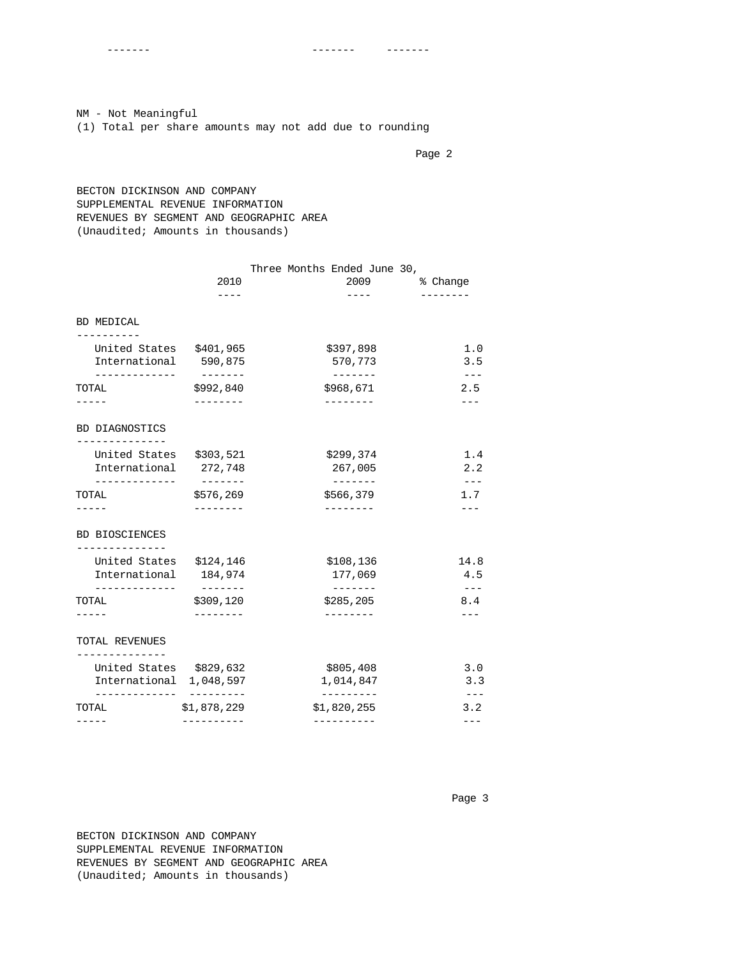NM - Not Meaningful (1) Total per share amounts may not add due to rounding

Page 2 and 2 and 2 and 2 and 2 and 2 and 2 and 2 and 2 and 2 and 2 and 2 and 2 and 2 and 2 and 2 and 2 and 2 and 2

 BECTON DICKINSON AND COMPANY SUPPLEMENTAL REVENUE INFORMATION REVENUES BY SEGMENT AND GEOGRAPHIC AREA (Unaudited; Amounts in thousands)

|                                         | 2010<br>----                   | Three Months Ended June 30,<br>2009<br>---- | % Change     |
|-----------------------------------------|--------------------------------|---------------------------------------------|--------------|
| BD MEDICAL                              |                                |                                             |              |
| - - - - - - - - - -                     |                                |                                             |              |
| United States \$401,965                 |                                | \$397,898                                   | 1.0          |
| International 590,875                   |                                | 570,773                                     | 3.5          |
| -----------<br>TOTAL                    | $- - - - - - - -$<br>\$992,840 | $- - - - - - - -$<br>\$968,671              | $---$<br>2.5 |
|                                         | --------                       | ---------                                   |              |
| BD DIAGNOSTICS                          |                                |                                             |              |
| United States \$303,521                 |                                | \$299,374                                   | 1.4          |
| International 272,748                   |                                | 267,005                                     | 2.2          |
| . _ _ _ _ _ _ _ _ _ _ _<br>TOTAL        | ________<br>\$576,269          | $- - - - - - -$<br>\$566,379                | 1.7          |
| $- - - -$                               | --------                       | --------                                    |              |
| <b>BD BIOSCIENCES</b>                   |                                |                                             |              |
| ------------<br>United States \$124,146 |                                | \$108,136                                   | 14.8         |
| International                           | 184,974                        | 177,069                                     | 4.5          |
| ------------<br>TOTAL                   | \$309,120                      | -------<br>\$285, 205                       | 8.4          |
|                                         |                                |                                             |              |
| TOTAL REVENUES                          |                                |                                             |              |
| . <u>.</u><br>United States \$829,632   |                                | \$805,408                                   | 3.0          |
| International 1,048,597                 |                                | 1,014,847                                   | 3.3          |
| TOTAL                                   | ----------<br>\$1,878,229      | ----------<br>\$1,820,255                   | $---$<br>3.2 |
|                                         |                                | ----------                                  | ---          |

 BECTON DICKINSON AND COMPANY SUPPLEMENTAL REVENUE INFORMATION REVENUES BY SEGMENT AND GEOGRAPHIC AREA (Unaudited; Amounts in thousands)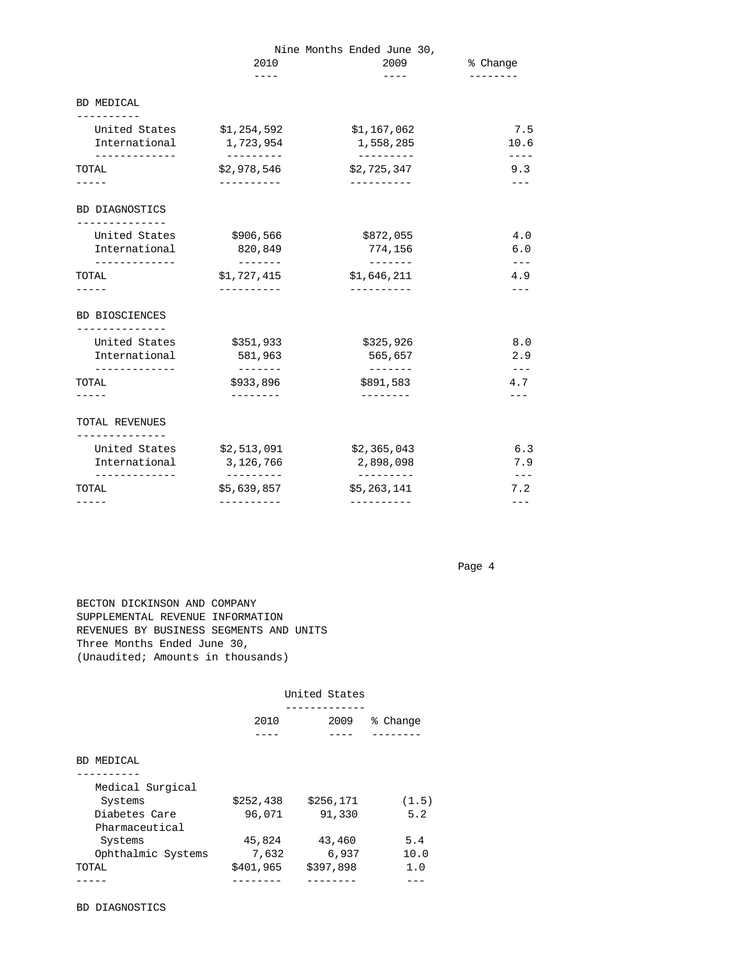|                                  |                           | Nine Months Ended June 30,     |                |
|----------------------------------|---------------------------|--------------------------------|----------------|
|                                  | 2010                      | 2009                           | % Change       |
|                                  | $- - - -$                 | $- - - - -$                    | ---------      |
| BD MEDICAL<br>-----------        |                           |                                |                |
| United States                    | \$1,254,592               | \$1,167,062                    | 7.5            |
| International                    | 1,723,954                 | 1,558,285                      | 10.6           |
| -------------<br>TOTAL           | ---------<br>\$2,978,546  | ----------<br>\$2,725,347      | ----<br>9.3    |
|                                  | -----------               | -----------                    |                |
| BD DIAGNOSTICS                   |                           |                                |                |
| United States                    | \$906,566                 | \$872,055                      | 4.0            |
| International                    | 820,849                   | 774,156                        | 6.0            |
| -------------<br>TOTAL           | \$1,727,415               | $- - - - - - -$<br>\$1,646,211 | 4.9            |
| -----                            | -----------               | -----------                    |                |
| <b>BD BIOSCIENCES</b>            |                           |                                |                |
| ---------------<br>United States | \$351,933                 | \$325,926                      | 8.0            |
| International                    | 581,963                   | 565,657                        | 2.9            |
| -------------<br>TOTAL           | \$933,896                 | \$891,583                      | $- - -$<br>4.7 |
| -----                            | ---------                 | $- - - - - - - -$              |                |
| TOTAL REVENUES                   |                           |                                |                |
| -----------<br>United States     | \$2,513,091               | \$2,365,043                    | 6.3            |
| International                    | 3,126,766                 | 2,898,098                      | 7.9            |
| -------------<br>TOTAL           | ----------<br>\$5,639,857 | __________<br>\$5,263,141      | 7.2            |
| -----                            | ----------                | ----------                     | ---            |

 BECTON DICKINSON AND COMPANY SUPPLEMENTAL REVENUE INFORMATION REVENUES BY BUSINESS SEGMENTS AND UNITS Three Months Ended June 30, (Unaudited; Amounts in thousands)

|                    | United States |           |             |  |
|--------------------|---------------|-----------|-------------|--|
|                    | 2010          | 2009      | ႜ<br>Change |  |
|                    |               |           |             |  |
| BD MEDICAL         |               |           |             |  |
|                    |               |           |             |  |
| Medical Surgical   |               |           |             |  |
| Systems            | \$252,438     | \$256,171 | (1.5)       |  |
| Diabetes Care      | 96,071        | 91,330    | 5.2         |  |
| Pharmaceutical     |               |           |             |  |
| Systems            | 45,824        | 43,460    | 5.4         |  |
| Ophthalmic Systems | 7,632         | 6,937     | 10.0        |  |
| TOTAL              | \$401,965     | \$397,898 | 1.0         |  |
|                    |               |           |             |  |

BD DIAGNOSTICS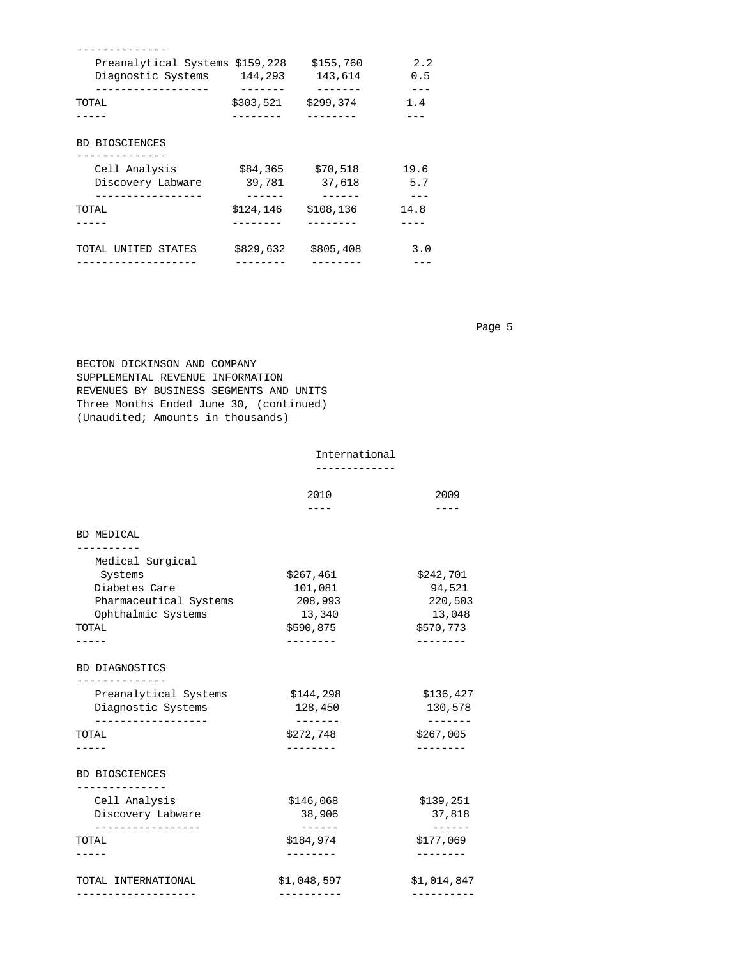| Preanalytical Systems \$159,228 |           | \$155,760 | 2.2  |
|---------------------------------|-----------|-----------|------|
| Diagnostic Systems              | 144,293   | 143,614   | 0.5  |
|                                 |           |           |      |
| TOTAL                           | \$303,521 | \$299,374 | 1.4  |
|                                 |           |           |      |
| <b>BD BIOSCIENCES</b>           |           |           |      |
| Cell Analysis                   | \$84,365  | \$70,518  | 19.6 |
| Discovery Labware               | 39,781    | 37,618    | 5.7  |
|                                 |           |           |      |
| TOTAL                           | \$124,146 | \$108,136 | 14.8 |
|                                 |           |           |      |
| TOTAL UNITED STATES             | \$829,632 | \$805,408 | 3.0  |
|                                 |           |           |      |

 BECTON DICKINSON AND COMPANY SUPPLEMENTAL REVENUE INFORMATION REVENUES BY BUSINESS SEGMENTS AND UNITS Three Months Ended June 30, (continued) (Unaudited; Amounts in thousands)

### International

|  | __________ |  |  |  |  | _ |  |
|--|------------|--|--|--|--|---|--|

|                                            | 2010                 | 2009                       |
|--------------------------------------------|----------------------|----------------------------|
|                                            | ----                 | ----                       |
| <b>BD MEDICAL</b>                          |                      |                            |
| Medical Surgical                           |                      |                            |
| Systems                                    | \$267,461            | \$242,701                  |
| Diabetes Care                              | 101,081              | 94,521                     |
| Pharmaceutical Systems                     | 208,993              | 220,503                    |
| Ophthalmic Systems                         | 13,340               | 13,048                     |
| TOTAL                                      | \$590,875            | \$570,773                  |
|                                            |                      |                            |
| BD DIAGNOSTICS<br>. <u>.</u> .             |                      |                            |
| Preanalytical Systems                      | \$144,298            | \$136,427                  |
| Diagnostic Systems                         | 128,450              | 130,578                    |
| . _ _ _ _ _ _ _ _ _ _ _ _ _ _ _ _<br>TOTAL | -------<br>\$272,748 | -------<br>\$267,005       |
|                                            | ---------            | --------                   |
| <b>BD BIOSCIENCES</b><br>------------      |                      |                            |
| Cell Analysis                              | \$146,068            | \$139,251                  |
| Discovery Labware                          | 38,906               | 37,818                     |
| . _ _ _ _ _ _ _ _ _ _ _ _ _ _ _ _<br>TOTAL | ------<br>\$184,974  | $- - - - - -$<br>\$177,069 |
|                                            |                      |                            |
| TOTAL INTERNATIONAL                        | \$1,048,597          | \$1,014,847                |
|                                            |                      |                            |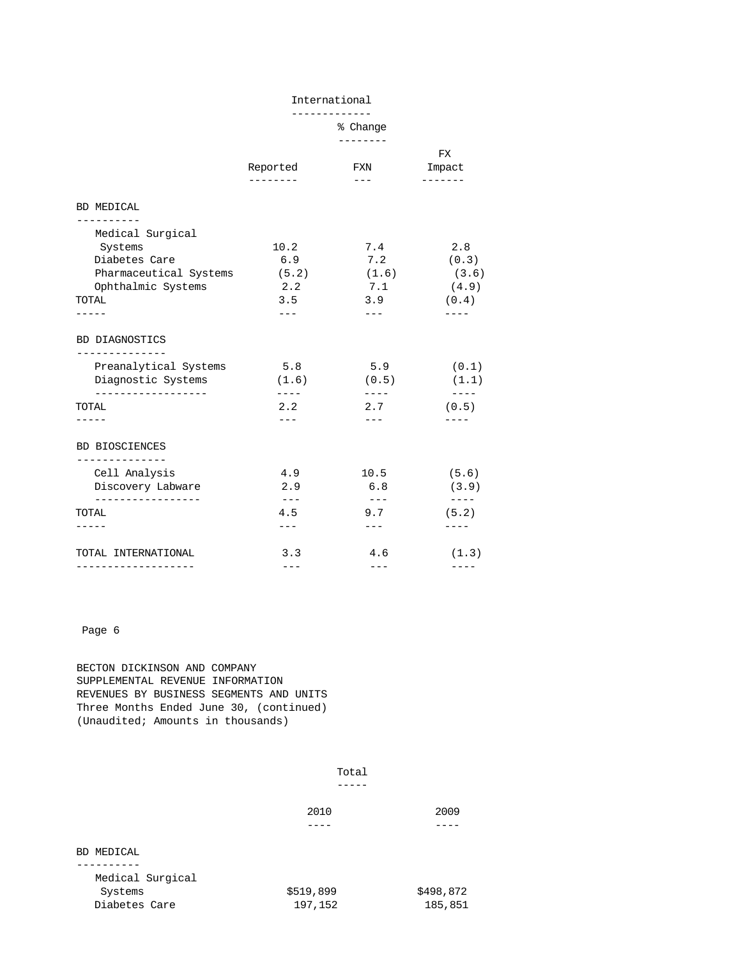-------------

% Change

|                                         |                     | --------            |                                                                                                                                                                                                                                                                                                                                                                                                       |
|-----------------------------------------|---------------------|---------------------|-------------------------------------------------------------------------------------------------------------------------------------------------------------------------------------------------------------------------------------------------------------------------------------------------------------------------------------------------------------------------------------------------------|
|                                         | Reported            | <b>FXN</b>          | FX<br>Impact                                                                                                                                                                                                                                                                                                                                                                                          |
|                                         | --------            | $- - -$             | --------                                                                                                                                                                                                                                                                                                                                                                                              |
| <b>BD MEDICAL</b>                       |                     |                     |                                                                                                                                                                                                                                                                                                                                                                                                       |
| ---------<br>Medical Surgical           |                     |                     |                                                                                                                                                                                                                                                                                                                                                                                                       |
| Systems                                 | 10.2                | 7.4                 | 2.8                                                                                                                                                                                                                                                                                                                                                                                                   |
| Diabetes Care                           | 6.9                 | 7.2                 | (0.3)                                                                                                                                                                                                                                                                                                                                                                                                 |
| Pharmaceutical Systems                  | (5.2)               | (1.6)               | (3.6)                                                                                                                                                                                                                                                                                                                                                                                                 |
| Ophthalmic Systems                      | 2.2                 | 7.1                 | (4.9)                                                                                                                                                                                                                                                                                                                                                                                                 |
| TOTAL                                   | 3.5                 | 3.9                 | (0.4)                                                                                                                                                                                                                                                                                                                                                                                                 |
|                                         | $---$               | $\qquad \qquad - -$ | $- - - -$                                                                                                                                                                                                                                                                                                                                                                                             |
| BD DIAGNOSTICS                          |                     |                     |                                                                                                                                                                                                                                                                                                                                                                                                       |
| --------------<br>Preanalytical Systems | 5.8                 | 5.9                 | (0.1)                                                                                                                                                                                                                                                                                                                                                                                                 |
| Diagnostic Systems                      | (1.6)               | (0.5)               | (1.1)                                                                                                                                                                                                                                                                                                                                                                                                 |
| . <u>.</u><br>TOTAL                     | ----<br>2.2         | $---$<br>2.7        | $\frac{1}{2} \frac{1}{2} \frac{1}{2} \frac{1}{2} \frac{1}{2} \frac{1}{2} \frac{1}{2} \frac{1}{2} \frac{1}{2} \frac{1}{2} \frac{1}{2} \frac{1}{2} \frac{1}{2} \frac{1}{2} \frac{1}{2} \frac{1}{2} \frac{1}{2} \frac{1}{2} \frac{1}{2} \frac{1}{2} \frac{1}{2} \frac{1}{2} \frac{1}{2} \frac{1}{2} \frac{1}{2} \frac{1}{2} \frac{1}{2} \frac{1}{2} \frac{1}{2} \frac{1}{2} \frac{1}{2} \frac{$<br>(0.5) |
|                                         | --- -               | $---$               |                                                                                                                                                                                                                                                                                                                                                                                                       |
| <b>BD BIOSCIENCES</b>                   |                     |                     |                                                                                                                                                                                                                                                                                                                                                                                                       |
| --------------<br>Cell Analysis         | 4.9                 | 10.5                | (5.6)                                                                                                                                                                                                                                                                                                                                                                                                 |
| Discovery Labware                       | 2.9                 | 6.8                 | (3.9)                                                                                                                                                                                                                                                                                                                                                                                                 |
| . <u>.</u>                              | $\qquad \qquad - -$ | $--$                | $\cdots$                                                                                                                                                                                                                                                                                                                                                                                              |
| TOTAL                                   | 4.5                 | 9.7                 | (5.2)                                                                                                                                                                                                                                                                                                                                                                                                 |
|                                         | $---$               | $\qquad \qquad - -$ | ----                                                                                                                                                                                                                                                                                                                                                                                                  |
| TOTAL INTERNATIONAL                     | 3.3                 | 4.6                 | (1.3)                                                                                                                                                                                                                                                                                                                                                                                                 |
|                                         | ---                 | $---$               | ----                                                                                                                                                                                                                                                                                                                                                                                                  |

 BECTON DICKINSON AND COMPANY SUPPLEMENTAL REVENUE INFORMATION REVENUES BY BUSINESS SEGMENTS AND UNITS Three Months Ended June 30, (continued) (Unaudited; Amounts in thousands)

|                  | Total     |           |
|------------------|-----------|-----------|
|                  | 2010      | 2009      |
|                  |           |           |
| BD MEDICAL       |           |           |
| --------         |           |           |
| Medical Surgical |           |           |
| Systems          | \$519,899 | \$498,872 |
| Diabetes Care    | 197,152   | 185,851   |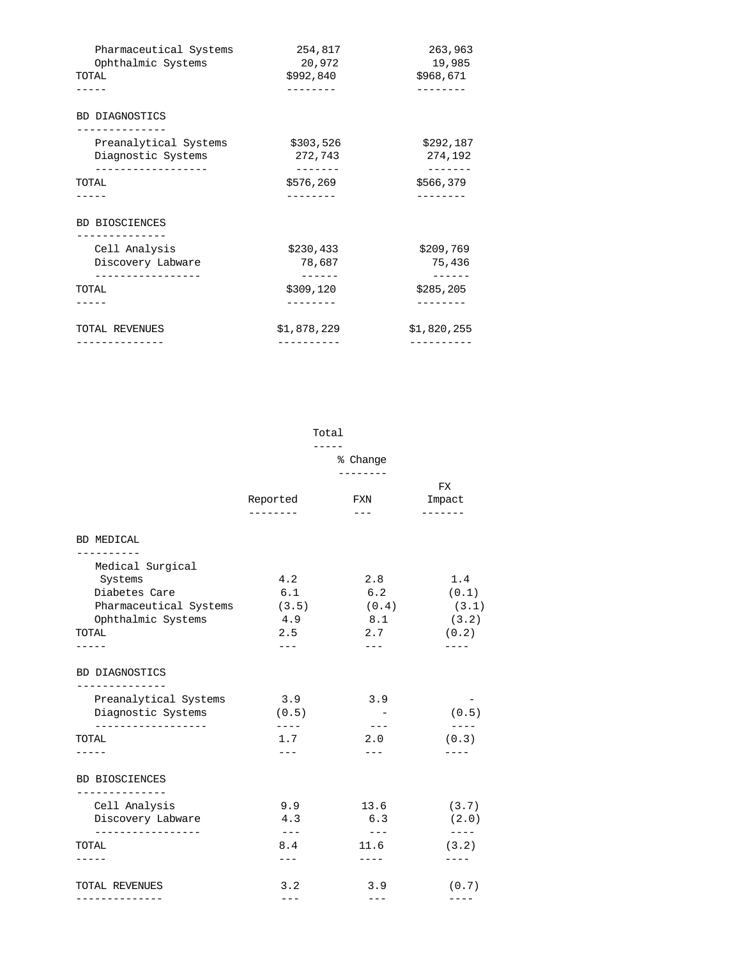| Pharmaceutical Systems                      | 254,817              | 263,963              |
|---------------------------------------------|----------------------|----------------------|
| Ophthalmic Systems                          | 20,972               | 19,985               |
| TOTAL                                       | \$992,840            | \$968,671            |
|                                             |                      |                      |
| <b>BD DIAGNOSTICS</b>                       |                      |                      |
| Preanalytical Systems<br>Diagnostic Systems | \$303,526<br>272,743 | \$292,187<br>274,192 |
| -------------<br>TOTAL                      | .<br>\$576,269       | -------<br>\$566,379 |
|                                             |                      |                      |
| <b>BD BIOSCIENCES</b>                       |                      |                      |
| . _ _ _ _ _ _ _ _ _ _ _<br>Cell Analysis    | \$230,433            | \$209,769            |
| Discovery Labware                           | 78,687               | 75,436               |
| TOTAL                                       | \$309,120            | \$285, 205           |
|                                             |                      |                      |
| TOTAL REVENUES                              | \$1,878,229          | \$1,820,255          |

|                                           | Total<br>-----       |                            |              |
|-------------------------------------------|----------------------|----------------------------|--------------|
|                                           |                      |                            |              |
|                                           | Reported             | ________<br>FXN            | FX<br>Impact |
|                                           | ---------            | $- - -$                    | --------     |
| <b>BD MEDICAL</b><br>.                    |                      |                            |              |
| Medical Surgical                          |                      |                            |              |
| Systems                                   | 4.2                  | 2.8                        | 1.4          |
| Diabetes Care                             | 6.1                  | 6.2                        | (0.1)        |
| Pharmaceutical Systems                    | (3.5)                | (0.4)                      | (3.1)        |
| Ophthalmic Systems                        | 4.9                  | 8.1                        | (3.2)        |
| TOTAL                                     | 2.5                  | 2.7                        | (0.2)        |
|                                           | $- - -$              | $---$                      | $- - - - -$  |
| BD DIAGNOSTICS                            |                      |                            |              |
| ------------<br>Preanalytical Systems     | 3.9                  | 3.9                        |              |
| Diagnostic Systems<br>___________________ | (0.5)                | $\sim$ $-$                 | (0.5)        |
| TOTAL                                     | $- - - -$<br>1.7     | $\qquad \qquad - -$<br>2.0 | (0.3)        |
| -----                                     | $---$                | $---$                      |              |
| <b>BD BIOSCIENCES</b>                     |                      |                            |              |
| --------------<br>Cell Analysis           | 9.9                  | 13.6                       | (3.7)        |
| Discovery Labware                         | 4.3                  | 6.3                        | (2.0)        |
| _________________<br>TOTAL                | $\frac{1}{2}$<br>8.4 | $- - -$<br>11.6            | (3.2)        |
| -----                                     | $---$                | $- - - - -$                | $---$        |
| TOTAL REVENUES                            | 3.2                  | 3.9                        | (0.7)        |
| --------------                            | $---$                | $---$                      | $- - - -$    |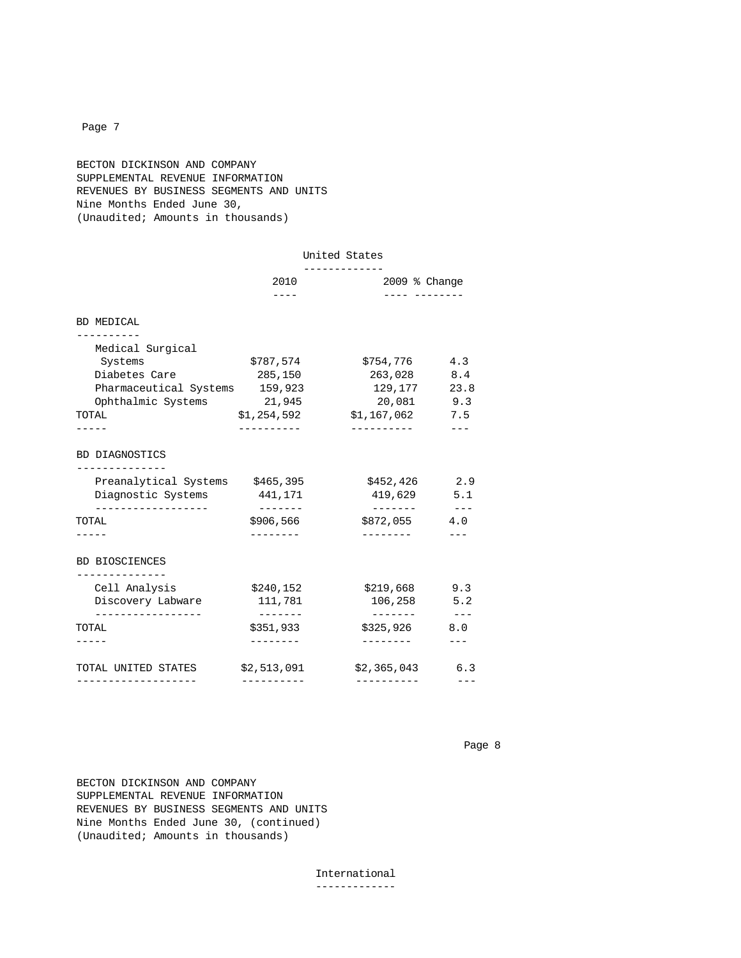### BECTON DICKINSON AND COMPANY SUPPLEMENTAL REVENUE INFORMATION REVENUES BY BUSINESS SEGMENTS AND UNITS Nine Months Ended June 30, (Unaudited; Amounts in thousands)

|                                                   | United States        |                                                |       |
|---------------------------------------------------|----------------------|------------------------------------------------|-------|
|                                                   | 2010                 | ------------<br>$2009$ % Change<br>---- ------ |       |
| BD MEDICAL                                        |                      |                                                |       |
| __________                                        |                      |                                                |       |
| Medical Surgical                                  |                      |                                                |       |
| Systems                                           | \$787,574            | \$754,776                                      | 4.3   |
| Diabetes Care                                     | 285,150              | 263,028                                        | 8.4   |
| Pharmaceutical Systems 159,923                    |                      | 129,177                                        | 23.8  |
| Ophthalmic Systems 21,945                         |                      | 20,081 9.3                                     |       |
| TOTAL                                             | \$1,254,592          | $$1,167,062$ 7.5                               |       |
|                                                   | -----------          | -----------                                    |       |
| BD DIAGNOSTICS                                    |                      |                                                |       |
| --------------<br>Preanalytical Systems \$465,395 |                      | \$452,426                                      | 2.9   |
| Diagnostic Systems 441,171                        |                      | 419,629                                        | 5.1   |
| . <u>.</u> .<br>TOTAL                             | -------<br>\$906,566 | --------<br>$$872,055$ 4.0                     | $  -$ |
|                                                   |                      | ---------                                      |       |
| <b>BD BIOSCIENCES</b>                             |                      |                                                |       |
| . <u>.</u><br>Cell Analysis                       | \$240,152            | \$219,668                                      | 9.3   |
| Discovery Labware                                 | 111,781              | 106,258                                        | 5.2   |
| . <u>.</u> .                                      | -------              | --------                                       | $  -$ |
| TOTAL                                             | \$351,933            | \$325,926                                      | 8.0   |
|                                                   | --------             | ---------                                      | $---$ |
| TOTAL UNITED STATES                               | \$2,513,091          | \$2,365,043                                    | 6.3   |
|                                                   |                      |                                                |       |

Page 8 and the state of the state of the state of the state of the state of the state of the state of the state of the state of the state of the state of the state of the state of the state of the state of the state of the

 BECTON DICKINSON AND COMPANY SUPPLEMENTAL REVENUE INFORMATION REVENUES BY BUSINESS SEGMENTS AND UNITS Nine Months Ended June 30, (continued) (Unaudited; Amounts in thousands)

> International -------------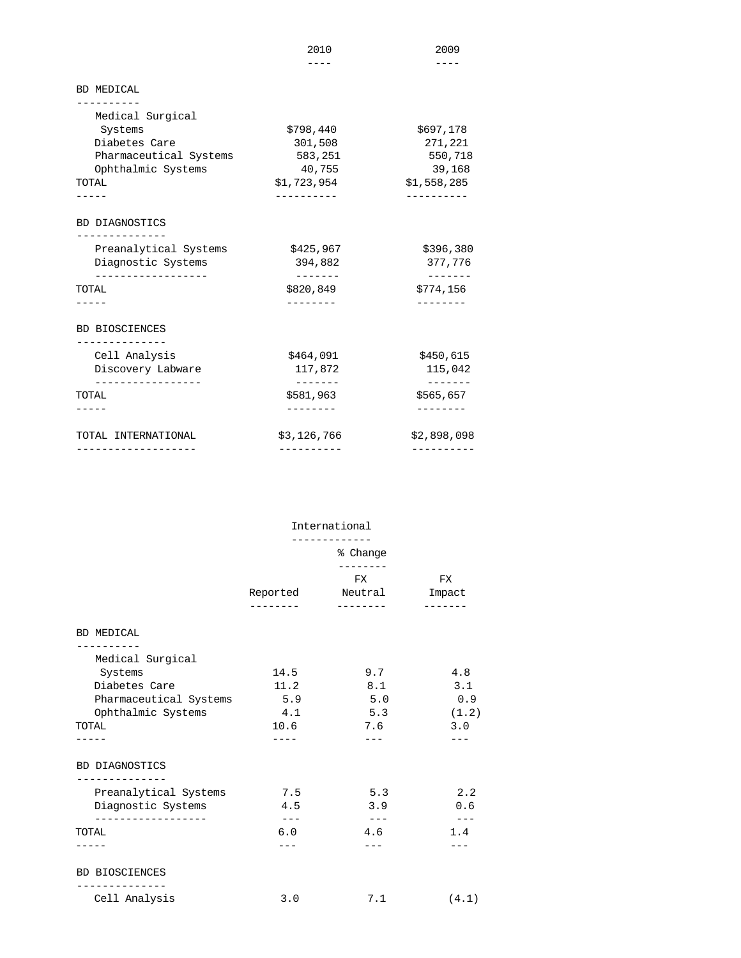|                               | 2010                  | 2009                  |
|-------------------------------|-----------------------|-----------------------|
|                               |                       |                       |
| <b>BD MEDICAL</b>             |                       |                       |
| --------<br>Medical Surgical  |                       |                       |
| Systems                       | \$798,440             | \$697,178             |
| Diabetes Care                 | 301,508               | 271,221               |
| Pharmaceutical Systems        | 583,251               | 550,718               |
| Ophthalmic Systems            | 40,755                | 39,168                |
| TOTAL                         | \$1,723,954           | \$1,558,285           |
|                               |                       |                       |
| BD DIAGNOSTICS                |                       |                       |
| Preanalytical Systems         | \$425,967             | \$396,380             |
| Diagnostic Systems            | 394,882               | 377,776               |
| ------------------<br>TOTAL   | -------<br>\$820,849  | -------<br>\$774,156  |
|                               |                       |                       |
| BD BIOSCIENCES                |                       |                       |
| ------------<br>Cell Analysis | \$464,091             | \$450,615             |
| Discovery Labware             | 117,872               | 115,042               |
| ----------------<br>TOTAL     | --------<br>\$581,963 | --------<br>\$565,657 |
|                               |                       | . _ _ _ _ _ _ _       |
| TOTAL INTERNATIONAL           | \$3,126,766           | \$2,898,098           |
| -------------------           | ---------             | ----------            |

|                                        | International       |                  |               |
|----------------------------------------|---------------------|------------------|---------------|
|                                        | % Change            |                  |               |
|                                        |                     | FX               | <b>FX</b>     |
|                                        |                     | Reported Neutral | Impact        |
|                                        | --------            | ---------        | -------       |
| BD MEDICAL                             |                     |                  |               |
| . <u>.</u><br>Medical Surgical         |                     |                  |               |
| Systems                                | 14.5                | 9.7              | 4.8           |
| Diabetes Care                          | 11.2                | 8.1              | 3.1           |
| Pharmaceutical Systems                 | 5.9                 | 5.0              | 0.9           |
| Ophthalmic Systems                     | 4.1                 | 5.3              | (1.2)         |
| TOTAL                                  | 10.6                | 7.6              | 3.0           |
|                                        | ----                |                  |               |
| BD DIAGNOSTICS                         |                     |                  |               |
| -------------<br>Preanalytical Systems | 7.5                 | 5.3              | 2.2           |
| Diagnostic Systems                     | 4.5                 | 3.9              | 0.6           |
| ------------------                     | $\qquad \qquad - -$ | $\frac{1}{2}$    | $\frac{1}{2}$ |
| TOTAL                                  | 6.0                 | 4.6              | 1.4           |
|                                        |                     | $---$            |               |
| <b>BD BIOSCIENCES</b>                  |                     |                  |               |
| Cell Analysis                          | 3.0                 | 7.1              | (4.1)         |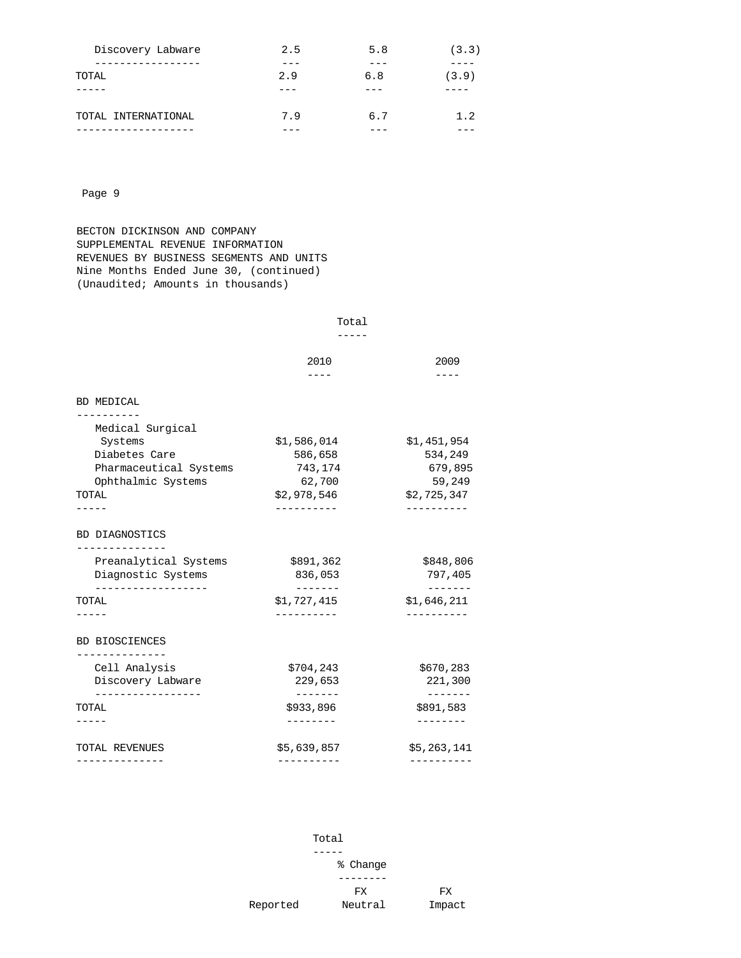| Discovery Labware   | 2.5 | 5.8 | (3.3) |
|---------------------|-----|-----|-------|
| ------------        |     |     |       |
| TOTAL               | 2.9 | 6.8 | (3.9) |
|                     |     |     |       |
|                     |     |     |       |
| TOTAL INTERNATIONAL | 7.9 | 6.7 | 1.2   |
| ------------        |     |     |       |

 BECTON DICKINSON AND COMPANY SUPPLEMENTAL REVENUE INFORMATION REVENUES BY BUSINESS SEGMENTS AND UNITS Nine Months Ended June 30, (continued) (Unaudited; Amounts in thousands)

-----

|                                                           | 2010                | 2009                      |
|-----------------------------------------------------------|---------------------|---------------------------|
|                                                           |                     |                           |
| BD MEDICAL<br>----------                                  |                     |                           |
| Medical Surgical                                          |                     |                           |
| Systems                                                   | \$1,586,014         | \$1,451,954               |
| Diabetes Care                                             | 586,658             | 534,249                   |
| Pharmaceutical Systems                                    | 743,174             | 679,895                   |
| Ophthalmic Systems<br>TOTAL                               | 62,700              | 59,249                    |
|                                                           | \$2,978,546         | \$2,725,347<br>---------- |
|                                                           |                     |                           |
| BD DIAGNOSTICS<br>-------------                           |                     |                           |
| Preanalytical Systems                                     | \$891,362           | \$848,806                 |
| Diagnostic Systems<br>. _ _ _ _ _ _ _ _ _ _ _ _ _ _ _ _ _ | 836,053<br>-------  | 797,405<br>-------        |
| TOTAL                                                     | \$1,727,415         | \$1,646,211               |
|                                                           |                     | ----------                |
| <b>BD BIOSCIENCES</b><br>------------                     |                     |                           |
| Cell Analysis                                             | \$704,243           | \$670,283                 |
| Discovery Labware                                         | 229,653<br>-------- | 221,300<br>-------        |
| -----------------<br>TOTAL                                | \$933,896           | \$891,583                 |
|                                                           |                     |                           |
| TOTAL REVENUES                                            | \$5,639,857         | \$5,263,141               |
| -------------                                             |                     | ----------                |

 Total ----- % Change --------FX FX<br>Reported Neutral Impact Neutral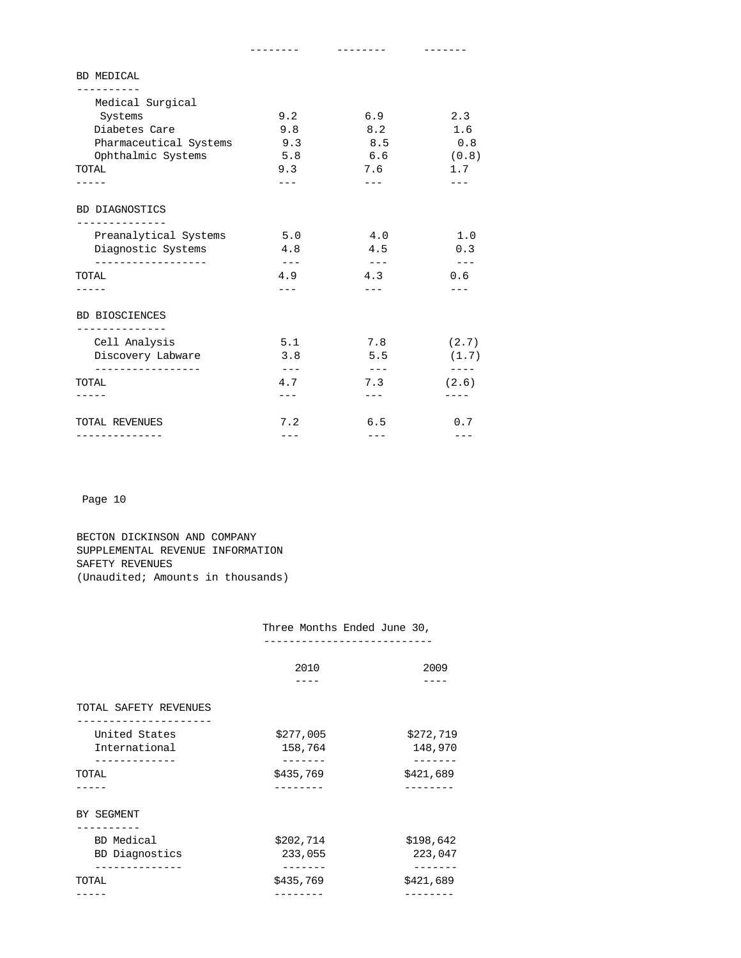| <b>BD MEDICAL</b>                                    |                            |                      |                                  |
|------------------------------------------------------|----------------------------|----------------------|----------------------------------|
| --------                                             |                            |                      |                                  |
| Medical Surgical                                     |                            |                      |                                  |
| Systems                                              | 9.2                        | 6.9                  | 2.3                              |
| Diabetes Care                                        | 9.8                        | 8.2                  | 1.6                              |
| Pharmaceutical Systems                               | 9.3                        | 8.5                  | 0.8                              |
| Ophthalmic Systems                                   | 5.8                        | 6.6                  | (0.8)                            |
| TOTAL                                                | 9.3                        | 7.6                  | 1.7                              |
|                                                      | $- - -$                    | $---$                |                                  |
| BD DIAGNOSTICS                                       |                            |                      |                                  |
| Preanalytical Systems                                | 5.0                        | 4.0                  | 1.0                              |
| Diagnostic Systems                                   | 4.8                        | 4.5                  | 0.3                              |
| __________________<br>TOTAL                          | $\qquad \qquad - -$<br>4.9 | $  -$<br>4.3         | $\qquad \qquad - -$<br>0.6       |
|                                                      |                            |                      |                                  |
| <b>BD BIOSCIENCES</b><br>. _ _ _ _ _ _ _ _ _ _ _ _ _ |                            |                      |                                  |
| Cell Analysis                                        | 5.1                        | 7.8                  | (2.7)                            |
| Discovery Labware                                    | 3.8                        | 5.5                  | (1.7)                            |
| __________________<br>TOTAL                          | $\qquad \qquad - -$<br>4.7 | $\frac{1}{2}$<br>7.3 | $\qquad \qquad - - - -$<br>(2.6) |
|                                                      |                            | $---$                |                                  |
| TOTAL REVENUES                                       | 7.2                        | 6.5                  | 0.7                              |
| -------------                                        | $---$                      | $---$                |                                  |

 BECTON DICKINSON AND COMPANY SUPPLEMENTAL REVENUE INFORMATION SAFETY REVENUES (Unaudited; Amounts in thousands)

## Three Months Ended June 30,

---------------------------

|                       | 2010      | 2009      |
|-----------------------|-----------|-----------|
| TOTAL SAFETY REVENUES |           |           |
| United States         | \$277,005 | \$272,719 |
| International         | 158,764   | 148,970   |
| TOTAL                 | \$435,769 | \$421,689 |
|                       |           |           |
| BY SEGMENT            |           |           |
| BD Medical            | \$202,714 | \$198,642 |
| BD Diagnostics        | 233,055   | 223,047   |
| TOTAL                 | \$435,769 | \$421,689 |
|                       |           |           |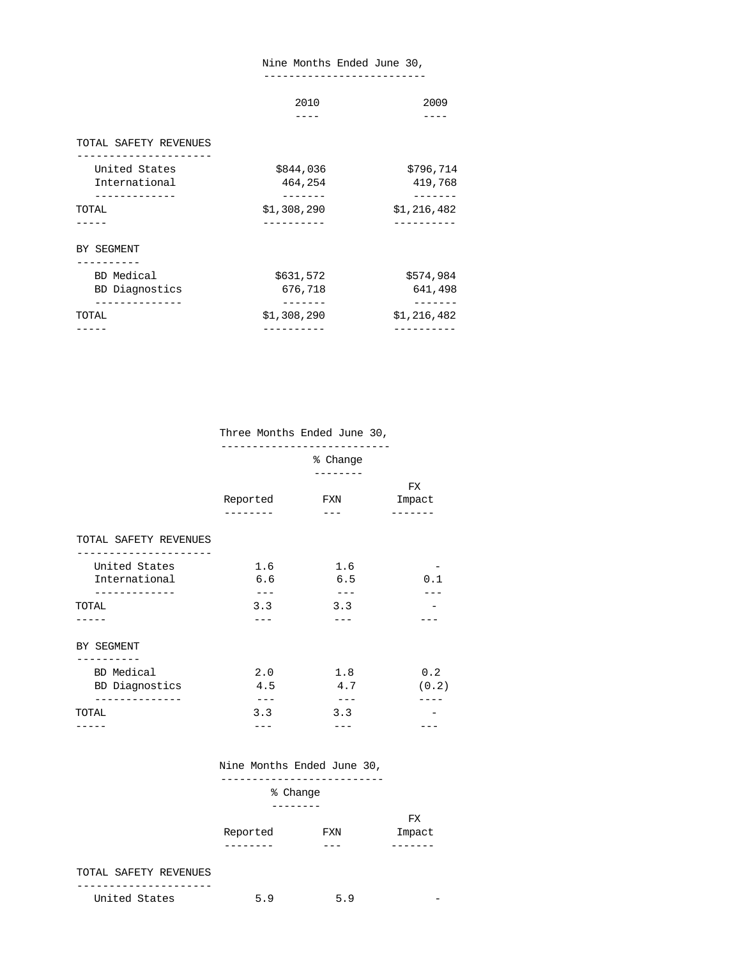### Nine Months Ended June 30,

--------------------------

| \$844,036<br>464,254<br>\$1,308,290 | \$796,714<br>419,768 |
|-------------------------------------|----------------------|
|                                     |                      |
|                                     |                      |
|                                     | \$1,216,482          |
|                                     |                      |
| \$631,572<br>676,718                | \$574,984<br>641,498 |
|                                     | \$1,216,482          |
|                                     | \$1,308,290          |

### Three Months Ended June 30,

---------------------------

|                       | % Change |         |        |
|-----------------------|----------|---------|--------|
|                       |          |         |        |
|                       |          |         | FX     |
|                       | Reported | FXN     | Impact |
|                       | -------- |         | ------ |
| TOTAL SAFETY REVENUES |          |         |        |
| United States         | 1.6      | 1.6     |        |
| International         | 6.6      | 6.5     | 0.1    |
|                       |          |         |        |
| TOTAL                 | 3.3      | 3.3     |        |
|                       |          |         |        |
| BY SEGMENT            |          |         |        |
| BD Medical            | 2.0      | 1.8     | 0.2    |
| BD Diagnostics        | 4.5      | 4.7     | (0.2)  |
| --------------        | $- - -$  | $- - -$ |        |
| TOTAL                 | 3.3      | 3.3     |        |
|                       |          |         |        |

### Nine Months Ended June 30,

| % Change |     |         |  |
|----------|-----|---------|--|
| -------- |     |         |  |
|          |     | FX      |  |
| Reported | FXN | Impact  |  |
| -------- | --- | ------- |  |

### TOTAL SAFETY REVENUES

| TInj.<br>.ted States<br>-<br>◡▴▴◡ | ∽ | - |
|-----------------------------------|---|---|